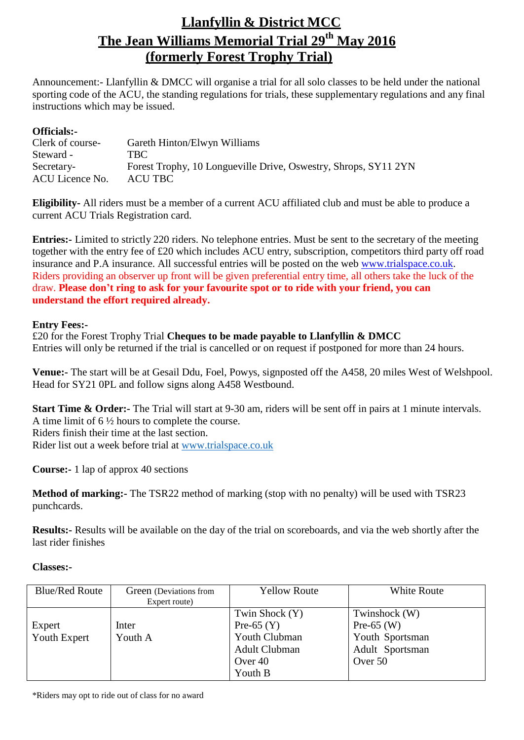## **Llanfyllin & District MCC The Jean Williams Memorial Trial 29th May 2016 (formerly Forest Trophy Trial)**

Announcement:- Llanfyllin & DMCC will organise a trial for all solo classes to be held under the national sporting code of the ACU, the standing regulations for trials, these supplementary regulations and any final instructions which may be issued.

## **Officials:-**

| Clerk of course- | Gareth Hinton/Elwyn Williams                                    |
|------------------|-----------------------------------------------------------------|
| Steward -        | <b>TBC</b>                                                      |
| Secretary-       | Forest Trophy, 10 Longueville Drive, Oswestry, Shrops, SY11 2YN |
| ACU Licence No.  | ACU TBC                                                         |
|                  |                                                                 |

**Eligibility-** All riders must be a member of a current ACU affiliated club and must be able to produce a current ACU Trials Registration card.

**Entries:-** Limited to strictly 220 riders. No telephone entries. Must be sent to the secretary of the meeting together with the entry fee of £20 which includes ACU entry, subscription, competitors third party off road insurance and P.A insurance. All successful entries will be posted on the web [www.trialspace.co.uk.](http://www.trialspace.co.uk/) Riders providing an observer up front will be given preferential entry time, all others take the luck of the draw. **Please don't ring to ask for your favourite spot or to ride with your friend, you can understand the effort required already.**

## **Entry Fees:-**

£20 for the Forest Trophy Trial **Cheques to be made payable to Llanfyllin & DMCC** Entries will only be returned if the trial is cancelled or on request if postponed for more than 24 hours.

**Venue:-** The start will be at Gesail Ddu, Foel, Powys, signposted off the A458, 20 miles West of Welshpool. Head for SY21 0PL and follow signs along A458 Westbound.

**Start Time & Order:-** The Trial will start at 9-30 am, riders will be sent off in pairs at 1 minute intervals. A time limit of 6 ½ hours to complete the course. Riders finish their time at the last section. Rider list out a week before trial at [www.trialspace.co.uk](http://www.trialspace.co.uk/)

**Course:-** 1 lap of approx 40 sections

**Method of marking:-** The TSR22 method of marking (stop with no penalty) will be used with TSR23 punchcards.

**Results:-** Results will be available on the day of the trial on scoreboards, and via the web shortly after the last rider finishes

## **Classes:-**

| <b>Blue/Red Route</b>  | Green (Deviations from<br>Expert route) | <b>Yellow Route</b>                                                                           | <b>White Route</b>                                                             |
|------------------------|-----------------------------------------|-----------------------------------------------------------------------------------------------|--------------------------------------------------------------------------------|
| Expert<br>Youth Expert | Inter<br>Youth A                        | Twin Shock (Y)<br>Pre-65 $(Y)$<br>Youth Clubman<br><b>Adult Clubman</b><br>Over 40<br>Youth B | Twinshock (W)<br>Pre-65 $(W)$<br>Youth Sportsman<br>Adult Sportsman<br>Over 50 |

\*Riders may opt to ride out of class for no award